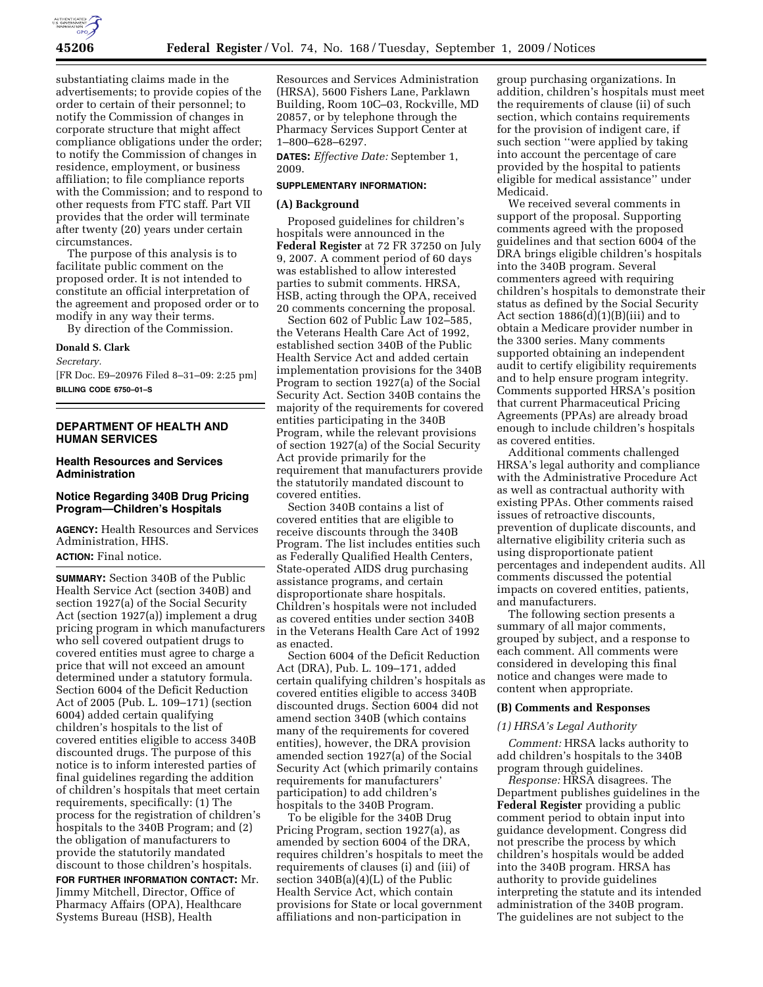

substantiating claims made in the advertisements; to provide copies of the order to certain of their personnel; to notify the Commission of changes in corporate structure that might affect compliance obligations under the order; to notify the Commission of changes in residence, employment, or business affiliation; to file compliance reports with the Commission; and to respond to other requests from FTC staff. Part VII provides that the order will terminate after twenty (20) years under certain circumstances.

The purpose of this analysis is to facilitate public comment on the proposed order. It is not intended to constitute an official interpretation of the agreement and proposed order or to modify in any way their terms.

By direction of the Commission.

# **Donald S. Clark**

*Secretary.* 

[FR Doc. E9–20976 Filed 8–31–09: 2:25 pm] **BILLING CODE 6750–01–S** 

# **DEPARTMENT OF HEALTH AND HUMAN SERVICES**

# **Health Resources and Services Administration**

# **Notice Regarding 340B Drug Pricing Program—Children's Hospitals**

**AGENCY:** Health Resources and Services Administration, HHS. **ACTION:** Final notice.

**SUMMARY:** Section 340B of the Public Health Service Act (section 340B) and section 1927(a) of the Social Security Act (section 1927(a)) implement a drug pricing program in which manufacturers who sell covered outpatient drugs to covered entities must agree to charge a price that will not exceed an amount determined under a statutory formula. Section 6004 of the Deficit Reduction Act of 2005 (Pub. L. 109–171) (section 6004) added certain qualifying children's hospitals to the list of covered entities eligible to access 340B discounted drugs. The purpose of this notice is to inform interested parties of final guidelines regarding the addition of children's hospitals that meet certain requirements, specifically: (1) The process for the registration of children's hospitals to the 340B Program; and (2) the obligation of manufacturers to provide the statutorily mandated discount to those children's hospitals.

**FOR FURTHER INFORMATION CONTACT:** Mr. Jimmy Mitchell, Director, Office of Pharmacy Affairs (OPA), Healthcare Systems Bureau (HSB), Health

Resources and Services Administration (HRSA), 5600 Fishers Lane, Parklawn Building, Room 10C–03, Rockville, MD 20857, or by telephone through the Pharmacy Services Support Center at 1–800–628–6297.

**DATES:** *Effective Date:* September 1, 2009.

#### **SUPPLEMENTARY INFORMATION:**

#### **(A) Background**

Proposed guidelines for children's hospitals were announced in the **Federal Register** at 72 FR 37250 on July 9, 2007. A comment period of 60 days was established to allow interested parties to submit comments. HRSA, HSB, acting through the OPA, received 20 comments concerning the proposal.

Section 602 of Public Law 102–585, the Veterans Health Care Act of 1992, established section 340B of the Public Health Service Act and added certain implementation provisions for the 340B Program to section 1927(a) of the Social Security Act. Section 340B contains the majority of the requirements for covered entities participating in the 340B Program, while the relevant provisions of section 1927(a) of the Social Security Act provide primarily for the requirement that manufacturers provide the statutorily mandated discount to covered entities.

Section 340B contains a list of covered entities that are eligible to receive discounts through the 340B Program. The list includes entities such as Federally Qualified Health Centers, State-operated AIDS drug purchasing assistance programs, and certain disproportionate share hospitals. Children's hospitals were not included as covered entities under section 340B in the Veterans Health Care Act of 1992 as enacted.

Section 6004 of the Deficit Reduction Act (DRA), Pub. L. 109–171, added certain qualifying children's hospitals as covered entities eligible to access 340B discounted drugs. Section 6004 did not amend section 340B (which contains many of the requirements for covered entities), however, the DRA provision amended section 1927(a) of the Social Security Act (which primarily contains requirements for manufacturers' participation) to add children's hospitals to the 340B Program.

To be eligible for the 340B Drug Pricing Program, section 1927(a), as amended by section 6004 of the DRA, requires children's hospitals to meet the requirements of clauses (i) and (iii) of section 340B(a)(4)(L) of the Public Health Service Act, which contain provisions for State or local government affiliations and non-participation in

group purchasing organizations. In addition, children's hospitals must meet the requirements of clause (ii) of such section, which contains requirements for the provision of indigent care, if such section ''were applied by taking into account the percentage of care provided by the hospital to patients eligible for medical assistance'' under Medicaid.

We received several comments in support of the proposal. Supporting comments agreed with the proposed guidelines and that section 6004 of the DRA brings eligible children's hospitals into the 340B program. Several commenters agreed with requiring children's hospitals to demonstrate their status as defined by the Social Security Act section  $1886(d)(1)(B)(iii)$  and to obtain a Medicare provider number in the 3300 series. Many comments supported obtaining an independent audit to certify eligibility requirements and to help ensure program integrity. Comments supported HRSA's position that current Pharmaceutical Pricing Agreements (PPAs) are already broad enough to include children's hospitals as covered entities.

Additional comments challenged HRSA's legal authority and compliance with the Administrative Procedure Act as well as contractual authority with existing PPAs. Other comments raised issues of retroactive discounts, prevention of duplicate discounts, and alternative eligibility criteria such as using disproportionate patient percentages and independent audits. All comments discussed the potential impacts on covered entities, patients, and manufacturers.

The following section presents a summary of all major comments, grouped by subject, and a response to each comment. All comments were considered in developing this final notice and changes were made to content when appropriate.

#### **(B) Comments and Responses**

#### *(1) HRSA's Legal Authority*

*Comment:* HRSA lacks authority to add children's hospitals to the 340B program through guidelines.

*Response:* HRSA disagrees. The Department publishes guidelines in the **Federal Register** providing a public comment period to obtain input into guidance development. Congress did not prescribe the process by which children's hospitals would be added into the 340B program. HRSA has authority to provide guidelines interpreting the statute and its intended administration of the 340B program. The guidelines are not subject to the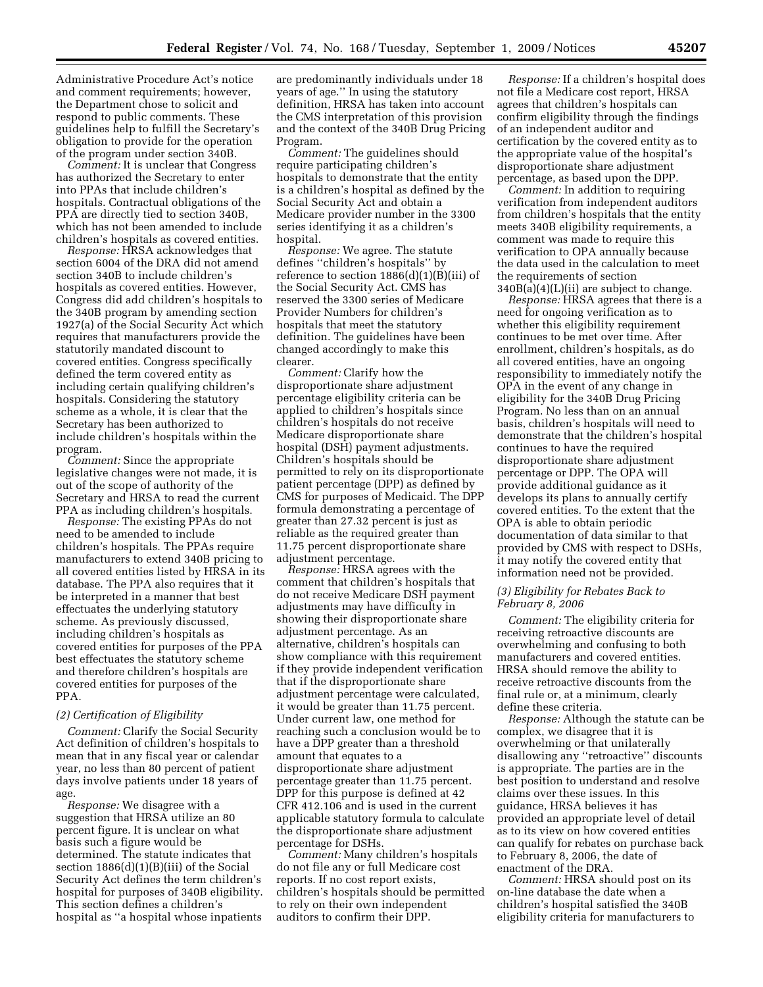Administrative Procedure Act's notice and comment requirements; however, the Department chose to solicit and respond to public comments. These guidelines help to fulfill the Secretary's obligation to provide for the operation of the program under section 340B.

*Comment:* It is unclear that Congress has authorized the Secretary to enter into PPAs that include children's hospitals. Contractual obligations of the PPA are directly tied to section 340B, which has not been amended to include children's hospitals as covered entities.

*Response:* HRSA acknowledges that section 6004 of the DRA did not amend section 340B to include children's hospitals as covered entities. However, Congress did add children's hospitals to the 340B program by amending section 1927(a) of the Social Security Act which requires that manufacturers provide the statutorily mandated discount to covered entities. Congress specifically defined the term covered entity as including certain qualifying children's hospitals. Considering the statutory scheme as a whole, it is clear that the Secretary has been authorized to include children's hospitals within the program.

*Comment:* Since the appropriate legislative changes were not made, it is out of the scope of authority of the Secretary and HRSA to read the current PPA as including children's hospitals.

*Response:* The existing PPAs do not need to be amended to include children's hospitals. The PPAs require manufacturers to extend 340B pricing to all covered entities listed by HRSA in its database. The PPA also requires that it be interpreted in a manner that best effectuates the underlying statutory scheme. As previously discussed, including children's hospitals as covered entities for purposes of the PPA best effectuates the statutory scheme and therefore children's hospitals are covered entities for purposes of the PPA.

#### *(2) Certification of Eligibility*

*Comment:* Clarify the Social Security Act definition of children's hospitals to mean that in any fiscal year or calendar year, no less than 80 percent of patient days involve patients under 18 years of age.

*Response:* We disagree with a suggestion that HRSA utilize an 80 percent figure. It is unclear on what basis such a figure would be determined. The statute indicates that section 1886(d)(1)(B)(iii) of the Social Security Act defines the term children's hospital for purposes of 340B eligibility. This section defines a children's hospital as ''a hospital whose inpatients

are predominantly individuals under 18 years of age.'' In using the statutory definition, HRSA has taken into account the CMS interpretation of this provision and the context of the 340B Drug Pricing Program.

*Comment:* The guidelines should require participating children's hospitals to demonstrate that the entity is a children's hospital as defined by the Social Security Act and obtain a Medicare provider number in the 3300 series identifying it as a children's hospital.

*Response:* We agree. The statute defines ''children's hospitals'' by reference to section 1886(d)(1)(B)(iii) of the Social Security Act. CMS has reserved the 3300 series of Medicare Provider Numbers for children's hospitals that meet the statutory definition. The guidelines have been changed accordingly to make this clearer.

*Comment:* Clarify how the disproportionate share adjustment percentage eligibility criteria can be applied to children's hospitals since children's hospitals do not receive Medicare disproportionate share hospital (DSH) payment adjustments. Children's hospitals should be permitted to rely on its disproportionate patient percentage (DPP) as defined by CMS for purposes of Medicaid. The DPP formula demonstrating a percentage of greater than 27.32 percent is just as reliable as the required greater than 11.75 percent disproportionate share adjustment percentage.

*Response:* HRSA agrees with the comment that children's hospitals that do not receive Medicare DSH payment adjustments may have difficulty in showing their disproportionate share adjustment percentage. As an alternative, children's hospitals can show compliance with this requirement if they provide independent verification that if the disproportionate share adjustment percentage were calculated, it would be greater than 11.75 percent. Under current law, one method for reaching such a conclusion would be to have a DPP greater than a threshold amount that equates to a disproportionate share adjustment percentage greater than 11.75 percent. DPP for this purpose is defined at 42 CFR 412.106 and is used in the current applicable statutory formula to calculate the disproportionate share adjustment percentage for DSHs.

*Comment:* Many children's hospitals do not file any or full Medicare cost reports. If no cost report exists, children's hospitals should be permitted to rely on their own independent auditors to confirm their DPP.

*Response:* If a children's hospital does not file a Medicare cost report, HRSA agrees that children's hospitals can confirm eligibility through the findings of an independent auditor and certification by the covered entity as to the appropriate value of the hospital's disproportionate share adjustment percentage, as based upon the DPP.

*Comment:* In addition to requiring verification from independent auditors from children's hospitals that the entity meets 340B eligibility requirements, a comment was made to require this verification to OPA annually because the data used in the calculation to meet the requirements of section  $340B(a)(4)(L)(ii)$  are subject to change.

*Response:* HRSA agrees that there is a need for ongoing verification as to whether this eligibility requirement continues to be met over time. After enrollment, children's hospitals, as do all covered entities, have an ongoing responsibility to immediately notify the OPA in the event of any change in eligibility for the 340B Drug Pricing Program. No less than on an annual basis, children's hospitals will need to demonstrate that the children's hospital continues to have the required disproportionate share adjustment percentage or DPP. The OPA will provide additional guidance as it develops its plans to annually certify covered entities. To the extent that the OPA is able to obtain periodic documentation of data similar to that provided by CMS with respect to DSHs, it may notify the covered entity that information need not be provided.

#### *(3) Eligibility for Rebates Back to February 8, 2006*

*Comment:* The eligibility criteria for receiving retroactive discounts are overwhelming and confusing to both manufacturers and covered entities. HRSA should remove the ability to receive retroactive discounts from the final rule or, at a minimum, clearly define these criteria.

*Response:* Although the statute can be complex, we disagree that it is overwhelming or that unilaterally disallowing any ''retroactive'' discounts is appropriate. The parties are in the best position to understand and resolve claims over these issues. In this guidance, HRSA believes it has provided an appropriate level of detail as to its view on how covered entities can qualify for rebates on purchase back to February 8, 2006, the date of enactment of the DRA.

*Comment:* HRSA should post on its on-line database the date when a children's hospital satisfied the 340B eligibility criteria for manufacturers to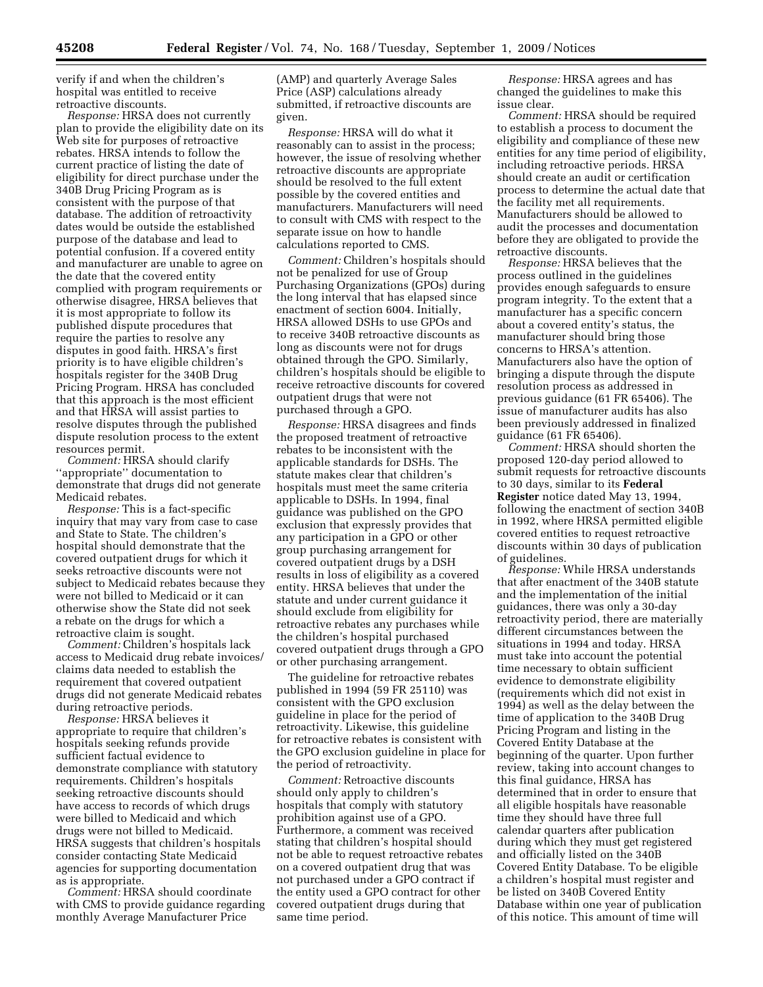verify if and when the children's hospital was entitled to receive retroactive discounts.

*Response:* HRSA does not currently plan to provide the eligibility date on its Web site for purposes of retroactive rebates. HRSA intends to follow the current practice of listing the date of eligibility for direct purchase under the 340B Drug Pricing Program as is consistent with the purpose of that database. The addition of retroactivity dates would be outside the established purpose of the database and lead to potential confusion. If a covered entity and manufacturer are unable to agree on the date that the covered entity complied with program requirements or otherwise disagree, HRSA believes that it is most appropriate to follow its published dispute procedures that require the parties to resolve any disputes in good faith. HRSA's first priority is to have eligible children's hospitals register for the 340B Drug Pricing Program. HRSA has concluded that this approach is the most efficient and that HRSA will assist parties to resolve disputes through the published dispute resolution process to the extent resources permit.

*Comment:* HRSA should clarify ''appropriate'' documentation to demonstrate that drugs did not generate Medicaid rebates.

*Response:* This is a fact-specific inquiry that may vary from case to case and State to State. The children's hospital should demonstrate that the covered outpatient drugs for which it seeks retroactive discounts were not subject to Medicaid rebates because they were not billed to Medicaid or it can otherwise show the State did not seek a rebate on the drugs for which a retroactive claim is sought.

*Comment:* Children's hospitals lack access to Medicaid drug rebate invoices/ claims data needed to establish the requirement that covered outpatient drugs did not generate Medicaid rebates during retroactive periods.

*Response:* HRSA believes it appropriate to require that children's hospitals seeking refunds provide sufficient factual evidence to demonstrate compliance with statutory requirements. Children's hospitals seeking retroactive discounts should have access to records of which drugs were billed to Medicaid and which drugs were not billed to Medicaid. HRSA suggests that children's hospitals consider contacting State Medicaid agencies for supporting documentation as is appropriate.

*Comment:* HRSA should coordinate with CMS to provide guidance regarding monthly Average Manufacturer Price

(AMP) and quarterly Average Sales Price (ASP) calculations already submitted, if retroactive discounts are given.

*Response:* HRSA will do what it reasonably can to assist in the process; however, the issue of resolving whether retroactive discounts are appropriate should be resolved to the full extent possible by the covered entities and manufacturers. Manufacturers will need to consult with CMS with respect to the separate issue on how to handle calculations reported to CMS.

*Comment:* Children's hospitals should not be penalized for use of Group Purchasing Organizations (GPOs) during the long interval that has elapsed since enactment of section 6004. Initially, HRSA allowed DSHs to use GPOs and to receive 340B retroactive discounts as long as discounts were not for drugs obtained through the GPO. Similarly, children's hospitals should be eligible to receive retroactive discounts for covered outpatient drugs that were not purchased through a GPO.

*Response:* HRSA disagrees and finds the proposed treatment of retroactive rebates to be inconsistent with the applicable standards for DSHs. The statute makes clear that children's hospitals must meet the same criteria applicable to DSHs. In 1994, final guidance was published on the GPO exclusion that expressly provides that any participation in a GPO or other group purchasing arrangement for covered outpatient drugs by a DSH results in loss of eligibility as a covered entity. HRSA believes that under the statute and under current guidance it should exclude from eligibility for retroactive rebates any purchases while the children's hospital purchased covered outpatient drugs through a GPO or other purchasing arrangement.

The guideline for retroactive rebates published in 1994 (59 FR 25110) was consistent with the GPO exclusion guideline in place for the period of retroactivity. Likewise, this guideline for retroactive rebates is consistent with the GPO exclusion guideline in place for the period of retroactivity.

*Comment:* Retroactive discounts should only apply to children's hospitals that comply with statutory prohibition against use of a GPO. Furthermore, a comment was received stating that children's hospital should not be able to request retroactive rebates on a covered outpatient drug that was not purchased under a GPO contract if the entity used a GPO contract for other covered outpatient drugs during that same time period.

*Response:* HRSA agrees and has changed the guidelines to make this issue clear.

*Comment:* HRSA should be required to establish a process to document the eligibility and compliance of these new entities for any time period of eligibility, including retroactive periods. HRSA should create an audit or certification process to determine the actual date that the facility met all requirements. Manufacturers should be allowed to audit the processes and documentation before they are obligated to provide the retroactive discounts.

*Response:* HRSA believes that the process outlined in the guidelines provides enough safeguards to ensure program integrity. To the extent that a manufacturer has a specific concern about a covered entity's status, the manufacturer should bring those concerns to HRSA's attention. Manufacturers also have the option of bringing a dispute through the dispute resolution process as addressed in previous guidance (61 FR 65406). The issue of manufacturer audits has also been previously addressed in finalized guidance (61 FR 65406).

*Comment:* HRSA should shorten the proposed 120-day period allowed to submit requests for retroactive discounts to 30 days, similar to its **Federal Register** notice dated May 13, 1994, following the enactment of section 340B in 1992, where HRSA permitted eligible covered entities to request retroactive discounts within 30 days of publication of guidelines.

*Response:* While HRSA understands that after enactment of the 340B statute and the implementation of the initial guidances, there was only a 30-day retroactivity period, there are materially different circumstances between the situations in 1994 and today. HRSA must take into account the potential time necessary to obtain sufficient evidence to demonstrate eligibility (requirements which did not exist in 1994) as well as the delay between the time of application to the 340B Drug Pricing Program and listing in the Covered Entity Database at the beginning of the quarter. Upon further review, taking into account changes to this final guidance, HRSA has determined that in order to ensure that all eligible hospitals have reasonable time they should have three full calendar quarters after publication during which they must get registered and officially listed on the 340B Covered Entity Database. To be eligible a children's hospital must register and be listed on 340B Covered Entity Database within one year of publication of this notice. This amount of time will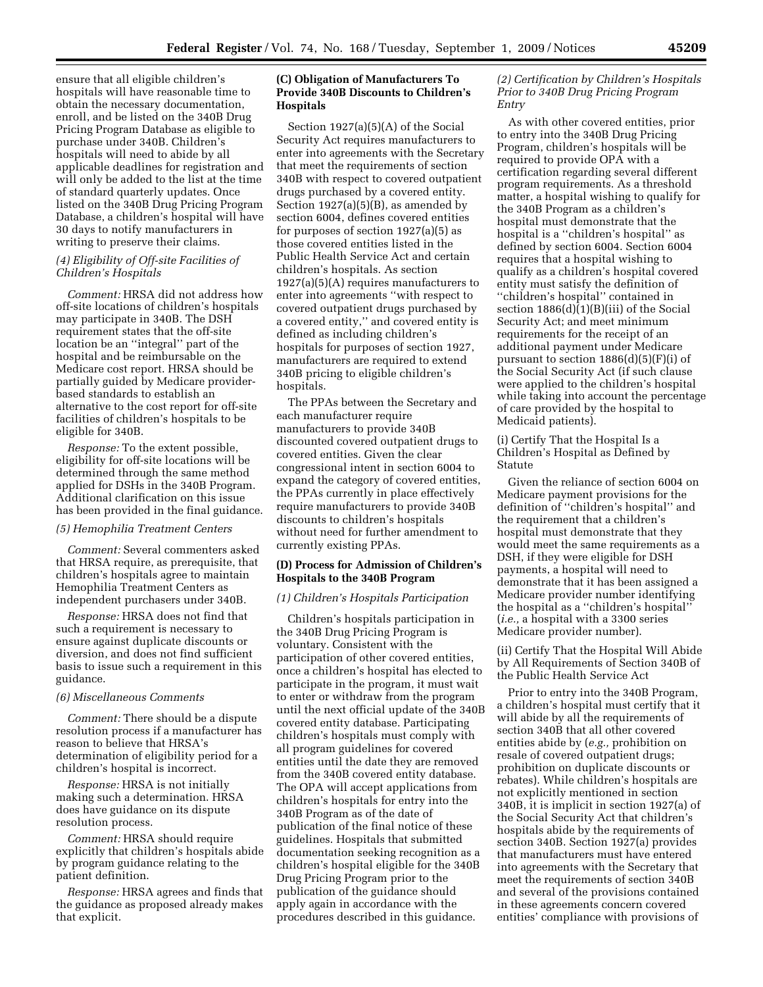ensure that all eligible children's hospitals will have reasonable time to obtain the necessary documentation, enroll, and be listed on the 340B Drug Pricing Program Database as eligible to purchase under 340B. Children's hospitals will need to abide by all applicable deadlines for registration and will only be added to the list at the time of standard quarterly updates. Once listed on the 340B Drug Pricing Program Database, a children's hospital will have 30 days to notify manufacturers in writing to preserve their claims.

# *(4) Eligibility of Off-site Facilities of Children's Hospitals*

*Comment:* HRSA did not address how off-site locations of children's hospitals may participate in 340B. The DSH requirement states that the off-site location be an ''integral'' part of the hospital and be reimbursable on the Medicare cost report. HRSA should be partially guided by Medicare providerbased standards to establish an alternative to the cost report for off-site facilities of children's hospitals to be eligible for 340B.

*Response:* To the extent possible, eligibility for off-site locations will be determined through the same method applied for DSHs in the 340B Program. Additional clarification on this issue has been provided in the final guidance.

# *(5) Hemophilia Treatment Centers*

*Comment:* Several commenters asked that HRSA require, as prerequisite, that children's hospitals agree to maintain Hemophilia Treatment Centers as independent purchasers under 340B.

*Response:* HRSA does not find that such a requirement is necessary to ensure against duplicate discounts or diversion, and does not find sufficient basis to issue such a requirement in this guidance.

### *(6) Miscellaneous Comments*

*Comment:* There should be a dispute resolution process if a manufacturer has reason to believe that HRSA's determination of eligibility period for a children's hospital is incorrect.

*Response:* HRSA is not initially making such a determination. HRSA does have guidance on its dispute resolution process.

*Comment:* HRSA should require explicitly that children's hospitals abide by program guidance relating to the patient definition.

*Response:* HRSA agrees and finds that the guidance as proposed already makes that explicit.

# **(C) Obligation of Manufacturers To Provide 340B Discounts to Children's Hospitals**

Section 1927(a)(5)(A) of the Social Security Act requires manufacturers to enter into agreements with the Secretary that meet the requirements of section 340B with respect to covered outpatient drugs purchased by a covered entity. Section  $1927(a)(5)(B)$ , as amended by section 6004, defines covered entities for purposes of section 1927(a)(5) as those covered entities listed in the Public Health Service Act and certain children's hospitals. As section 1927(a)(5)(A) requires manufacturers to enter into agreements ''with respect to covered outpatient drugs purchased by a covered entity,'' and covered entity is defined as including children's hospitals for purposes of section 1927, manufacturers are required to extend 340B pricing to eligible children's hospitals.

The PPAs between the Secretary and each manufacturer require manufacturers to provide 340B discounted covered outpatient drugs to covered entities. Given the clear congressional intent in section 6004 to expand the category of covered entities, the PPAs currently in place effectively require manufacturers to provide 340B discounts to children's hospitals without need for further amendment to currently existing PPAs.

# **(D) Process for Admission of Children's Hospitals to the 340B Program**

#### *(1) Children's Hospitals Participation*

Children's hospitals participation in the 340B Drug Pricing Program is voluntary. Consistent with the participation of other covered entities, once a children's hospital has elected to participate in the program, it must wait to enter or withdraw from the program until the next official update of the 340B covered entity database. Participating children's hospitals must comply with all program guidelines for covered entities until the date they are removed from the 340B covered entity database. The OPA will accept applications from children's hospitals for entry into the 340B Program as of the date of publication of the final notice of these guidelines. Hospitals that submitted documentation seeking recognition as a children's hospital eligible for the 340B Drug Pricing Program prior to the publication of the guidance should apply again in accordance with the procedures described in this guidance.

# *(2) Certification by Children's Hospitals Prior to 340B Drug Pricing Program Entry*

As with other covered entities, prior to entry into the 340B Drug Pricing Program, children's hospitals will be required to provide OPA with a certification regarding several different program requirements. As a threshold matter, a hospital wishing to qualify for the 340B Program as a children's hospital must demonstrate that the hospital is a ''children's hospital'' as defined by section 6004. Section 6004 requires that a hospital wishing to qualify as a children's hospital covered entity must satisfy the definition of ''children's hospital'' contained in section 1886(d)(1)(B)(iii) of the Social Security Act; and meet minimum requirements for the receipt of an additional payment under Medicare pursuant to section  $1886(d)(5)(F)(i)$  of the Social Security Act (if such clause were applied to the children's hospital while taking into account the percentage of care provided by the hospital to Medicaid patients).

(i) Certify That the Hospital Is a Children's Hospital as Defined by Statute

Given the reliance of section 6004 on Medicare payment provisions for the definition of ''children's hospital'' and the requirement that a children's hospital must demonstrate that they would meet the same requirements as a DSH, if they were eligible for DSH payments, a hospital will need to demonstrate that it has been assigned a Medicare provider number identifying the hospital as a ''children's hospital'' (*i.e.,* a hospital with a 3300 series Medicare provider number).

(ii) Certify That the Hospital Will Abide by All Requirements of Section 340B of the Public Health Service Act

Prior to entry into the 340B Program, a children's hospital must certify that it will abide by all the requirements of section 340B that all other covered entities abide by (*e.g.,* prohibition on resale of covered outpatient drugs; prohibition on duplicate discounts or rebates). While children's hospitals are not explicitly mentioned in section 340B, it is implicit in section 1927(a) of the Social Security Act that children's hospitals abide by the requirements of section 340B. Section 1927(a) provides that manufacturers must have entered into agreements with the Secretary that meet the requirements of section 340B and several of the provisions contained in these agreements concern covered entities' compliance with provisions of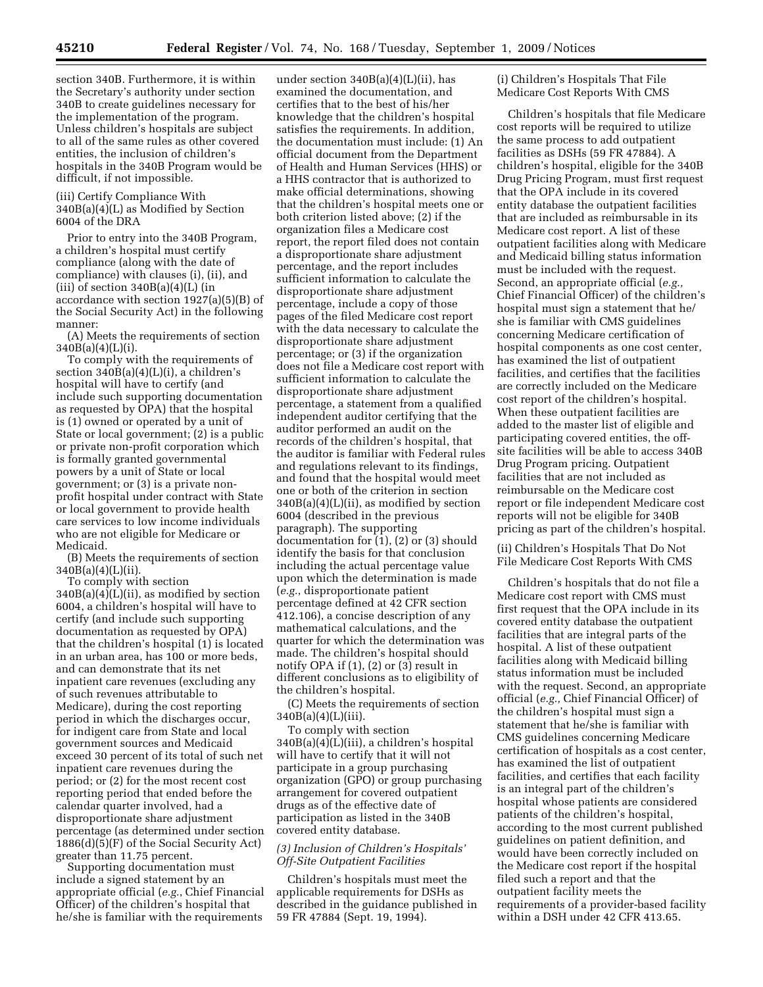section 340B. Furthermore, it is within the Secretary's authority under section 340B to create guidelines necessary for the implementation of the program. Unless children's hospitals are subject to all of the same rules as other covered entities, the inclusion of children's hospitals in the 340B Program would be difficult, if not impossible.

(iii) Certify Compliance With 340B(a)(4)(L) as Modified by Section 6004 of the DRA

Prior to entry into the 340B Program, a children's hospital must certify compliance (along with the date of compliance) with clauses (i), (ii), and (iii) of section  $340B(a)(4)(L)$  (in accordance with section 1927(a)(5)(B) of the Social Security Act) in the following manner:

(A) Meets the requirements of section 340B(a)(4)(L)(i).

To comply with the requirements of section  $340B(a)(4)(L)(i)$ , a children's hospital will have to certify (and include such supporting documentation as requested by OPA) that the hospital is (1) owned or operated by a unit of State or local government; (2) is a public or private non-profit corporation which is formally granted governmental powers by a unit of State or local government; or (3) is a private nonprofit hospital under contract with State or local government to provide health care services to low income individuals who are not eligible for Medicare or Medicaid.

(B) Meets the requirements of section 340B(a)(4)(L)(ii).

To comply with section  $340B(a)(4)(L)(ii)$ , as modified by section 6004, a children's hospital will have to certify (and include such supporting documentation as requested by OPA) that the children's hospital (1) is located in an urban area, has 100 or more beds, and can demonstrate that its net inpatient care revenues (excluding any of such revenues attributable to Medicare), during the cost reporting period in which the discharges occur, for indigent care from State and local government sources and Medicaid exceed 30 percent of its total of such net inpatient care revenues during the period; or (2) for the most recent cost reporting period that ended before the calendar quarter involved, had a disproportionate share adjustment percentage (as determined under section 1886(d)(5)(F) of the Social Security Act) greater than 11.75 percent.

Supporting documentation must include a signed statement by an appropriate official (*e.g.*, Chief Financial Officer) of the children's hospital that he/she is familiar with the requirements

under section  $340B(a)(4)(L)(ii)$ , has examined the documentation, and certifies that to the best of his/her knowledge that the children's hospital satisfies the requirements. In addition, the documentation must include: (1) An official document from the Department of Health and Human Services (HHS) or a HHS contractor that is authorized to make official determinations, showing that the children's hospital meets one or both criterion listed above; (2) if the organization files a Medicare cost report, the report filed does not contain a disproportionate share adjustment percentage, and the report includes sufficient information to calculate the disproportionate share adjustment percentage, include a copy of those pages of the filed Medicare cost report with the data necessary to calculate the disproportionate share adjustment percentage; or (3) if the organization does not file a Medicare cost report with sufficient information to calculate the disproportionate share adjustment percentage, a statement from a qualified independent auditor certifying that the auditor performed an audit on the records of the children's hospital, that the auditor is familiar with Federal rules and regulations relevant to its findings, and found that the hospital would meet one or both of the criterion in section 340B(a)(4)(L)(ii), as modified by section 6004 (described in the previous paragraph). The supporting documentation for (1), (2) or (3) should identify the basis for that conclusion including the actual percentage value upon which the determination is made (*e.g.*, disproportionate patient percentage defined at 42 CFR section 412.106), a concise description of any mathematical calculations, and the quarter for which the determination was made. The children's hospital should notify OPA if (1), (2) or (3) result in different conclusions as to eligibility of the children's hospital.

(C) Meets the requirements of section  $340B(a)(4)(L)(iii)$ .

To comply with section 340B(a)(4)(L)(iii), a children's hospital will have to certify that it will not participate in a group purchasing organization (GPO) or group purchasing arrangement for covered outpatient drugs as of the effective date of participation as listed in the 340B covered entity database.

# *(3) Inclusion of Children's Hospitals' Off-Site Outpatient Facilities*

Children's hospitals must meet the applicable requirements for DSHs as described in the guidance published in 59 FR 47884 (Sept. 19, 1994).

(i) Children's Hospitals That File Medicare Cost Reports With CMS

Children's hospitals that file Medicare cost reports will be required to utilize the same process to add outpatient facilities as DSHs (59 FR 47884). A children's hospital, eligible for the 340B Drug Pricing Program, must first request that the OPA include in its covered entity database the outpatient facilities that are included as reimbursable in its Medicare cost report. A list of these outpatient facilities along with Medicare and Medicaid billing status information must be included with the request. Second, an appropriate official (*e.g.,*  Chief Financial Officer) of the children's hospital must sign a statement that he/ she is familiar with CMS guidelines concerning Medicare certification of hospital components as one cost center, has examined the list of outpatient facilities, and certifies that the facilities are correctly included on the Medicare cost report of the children's hospital. When these outpatient facilities are added to the master list of eligible and participating covered entities, the offsite facilities will be able to access 340B Drug Program pricing. Outpatient facilities that are not included as reimbursable on the Medicare cost report or file independent Medicare cost reports will not be eligible for 340B pricing as part of the children's hospital.

(ii) Children's Hospitals That Do Not File Medicare Cost Reports With CMS

Children's hospitals that do not file a Medicare cost report with CMS must first request that the OPA include in its covered entity database the outpatient facilities that are integral parts of the hospital. A list of these outpatient facilities along with Medicaid billing status information must be included with the request. Second, an appropriate official (*e.g.,* Chief Financial Officer) of the children's hospital must sign a statement that he/she is familiar with CMS guidelines concerning Medicare certification of hospitals as a cost center, has examined the list of outpatient facilities, and certifies that each facility is an integral part of the children's hospital whose patients are considered patients of the children's hospital, according to the most current published guidelines on patient definition, and would have been correctly included on the Medicare cost report if the hospital filed such a report and that the outpatient facility meets the requirements of a provider-based facility within a DSH under 42 CFR 413.65.